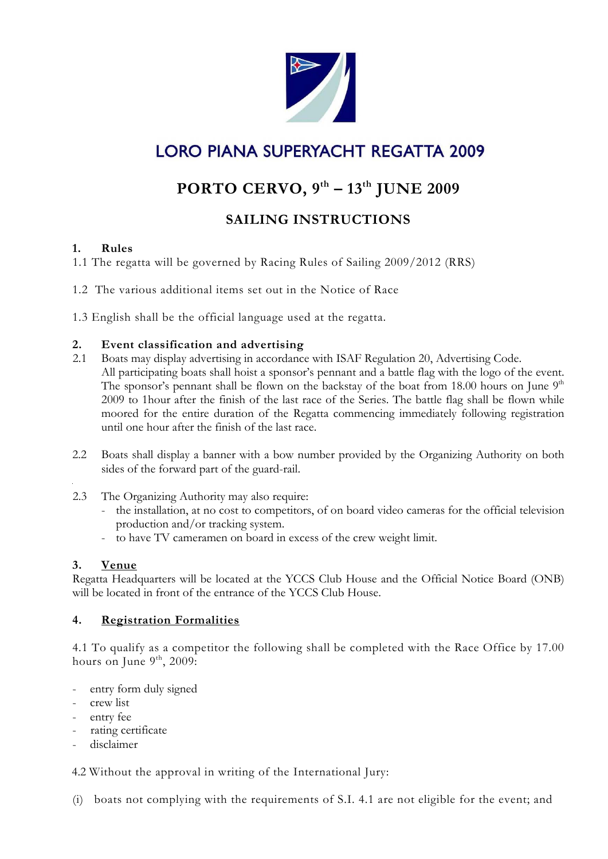

# **LORO PIANA SUPERYACHT REGATTA 2009**

## **PORTO CERVO, 9th – 13th JUNE 2009**

## **SAILING INSTRUCTIONS**

## **1. Rules**

1.1 The regatta will be governed by Racing Rules of Sailing 2009/2012 (RRS)

1.2 The various additional items set out in the Notice of Race

1.3 English shall be the official language used at the regatta.

## **2. Event classification and advertising**

- 2.1 Boats may display advertising in accordance with ISAF Regulation 20, Advertising Code. All participating boats shall hoist a sponsor's pennant and a battle flag with the logo of the event. The sponsor's pennant shall be flown on the backstay of the boat from 18.00 hours on June  $9<sup>th</sup>$ 2009 to 1hour after the finish of the last race of the Series. The battle flag shall be flown while moored for the entire duration of the Regatta commencing immediately following registration until one hour after the finish of the last race.
- 2.2 Boats shall display a banner with a bow number provided by the Organizing Authority on both sides of the forward part of the guard-rail.
- 2.3 The Organizing Authority may also require:
	- the installation, at no cost to competitors, of on board video cameras for the official television production and/or tracking system.
	- to have TV cameramen on board in excess of the crew weight limit.

## **3. Venue**

Regatta Headquarters will be located at the YCCS Club House and the Official Notice Board (ONB) will be located in front of the entrance of the YCCS Club House.

## **4. Registration Formalities**

4.1 To qualify as a competitor the following shall be completed with the Race Office by 17.00 hours on June  $9<sup>th</sup>$ , 2009:

- entry form duly signed
- crew list
- entry fee
- rating certificate
- disclaimer

4.2 Without the approval in writing of the International Jury:

(i) boats not complying with the requirements of S.I. 4.1 are not eligible for the event; and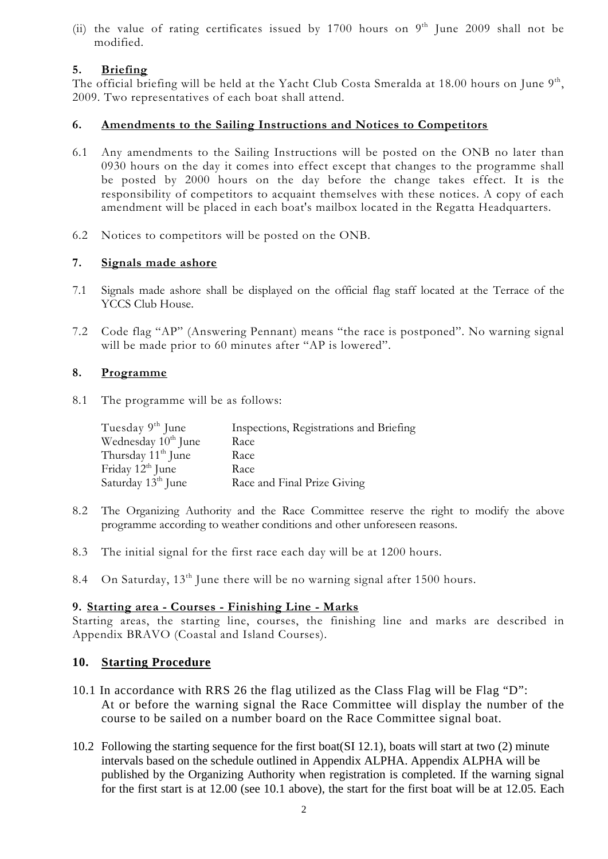(ii) the value of rating certificates issued by 1700 hours on  $9<sup>th</sup>$  June 2009 shall not be modified.

## **5. Briefing**

The official briefing will be held at the Yacht Club Costa Smeralda at 18.00 hours on June  $9<sup>th</sup>$ , 2009. Two representatives of each boat shall attend.

#### **6. Amendments to the Sailing Instructions and Notices to Competitors**

- 6.1 Any amendments to the Sailing Instructions will be posted on the ONB no later than 0930 hours on the day it comes into effect except that changes to the programme shall be posted by 2000 hours on the day before the change takes effect. It is the responsibility of competitors to acquaint themselves with these notices. A copy of each amendment will be placed in each boat's mailbox located in the Regatta Headquarters.
- 6.2 Notices to competitors will be posted on the ONB.

## **7. Signals made ashore**

- 7.1 Signals made ashore shall be displayed on the official flag staff located at the Terrace of the YCCS Club House.
- 7.2 Code flag "AP" (Answering Pennant) means "the race is postponed". No warning signal will be made prior to 60 minutes after "AP is lowered".

#### **8. Programme**

8.1 The programme will be as follows:

| Tuesday $9th$ June              | Inspections, Registrations and Briefing |
|---------------------------------|-----------------------------------------|
| Wednesday 10 <sup>th</sup> June | Race                                    |
| Thursday 11 <sup>th</sup> June  | Race                                    |
| Friday $12^{th}$ June           | Race                                    |
| Saturday 13 <sup>th</sup> June  | Race and Final Prize Giving             |

- 8.2 The Organizing Authority and the Race Committee reserve the right to modify the above programme according to weather conditions and other unforeseen reasons.
- 8.3 The initial signal for the first race each day will be at 1200 hours.
- 8.4 On Saturday,  $13<sup>th</sup>$  June there will be no warning signal after 1500 hours.

#### **9. Starting area - Courses - Finishing Line - Marks**

Starting areas, the starting line, courses, the finishing line and marks are described in Appendix BRAVO (Coastal and Island Courses).

#### **10. Starting Procedure**

- 10.1 In accordance with RRS 26 the flag utilized as the Class Flag will be Flag "D": At or before the warning signal the Race Committee will display the number of the course to be sailed on a number board on the Race Committee signal boat.
- 10.2 Following the starting sequence for the first boat(SI 12.1), boats will start at two (2) minute intervals based on the schedule outlined in Appendix ALPHA. Appendix ALPHA will be published by the Organizing Authority when registration is completed. If the warning signal for the first start is at 12.00 (see 10.1 above), the start for the first boat will be at 12.05. Each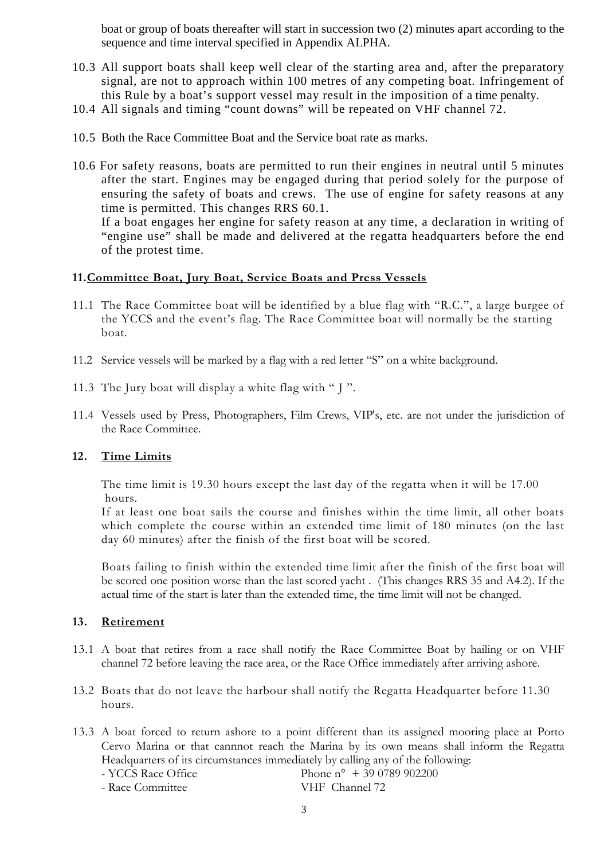boat or group of boats thereafter will start in succession two (2) minutes apart according to the sequence and time interval specified in Appendix ALPHA.

- 10.3 All support boats shall keep well clear of the starting area and, after the preparatory signal, are not to approach within 100 metres of any competing boat. Infringement of this Rule by a boat's support vessel may result in the imposition of a time penalty.
- 10.4 All signals and timing "count downs" will be repeated on VHF channel 72.
- 10.5 Both the Race Committee Boat and the Service boat rate as marks.
- 10.6 For safety reasons, boats are permitted to run their engines in neutral until 5 minutes after the start. Engines may be engaged during that period solely for the purpose of ensuring the safety of boats and crews. The use of engine for safety reasons at any time is permitted. This changes RRS 60.1. If a boat engages her engine for safety reason at any time, a declaration in writing of "engine use" shall be made and delivered at the regatta headquarters before the end of the protest time.

#### **11.Committee Boat, Jury Boat, Service Boats and Press Vessels**

- 11.1 The Race Committee boat will be identified by a blue flag with "R.C.", a large burgee of the YCCS and the event's flag. The Race Committee boat will normally be the starting boat.
- 11.2 Service vessels will be marked by a flag with a red letter "S" on a white background.
- 11.3 The Jury boat will display a white flag with " J ".
- 11.4 Vessels used by Press, Photographers, Film Crews, VIP's, etc. are not under the jurisdiction of the Race Committee.

#### **12. Time Limits**

The time limit is 19.30 hours except the last day of the regatta when it will be 17.00 hours.

If at least one boat sails the course and finishes within the time limit, all other boats which complete the course within an extended time limit of 180 minutes (on the last day 60 minutes) after the finish of the first boat will be scored.

Boats failing to finish within the extended time limit after the finish of the first boat will be scored one position worse than the last scored yacht . (This changes RRS 35 and A4.2). If the actual time of the start is later than the extended time, the time limit will not be changed.

#### **13. Retirement**

- 13.1 A boat that retires from a race shall notify the Race Committee Boat by hailing or on VHF channel 72 before leaving the race area, or the Race Office immediately after arriving ashore.
- 13.2 Boats that do not leave the harbour shall notify the Regatta Headquarter before 11.30 hours.

13.3 A boat forced to return ashore to a point different than its assigned mooring place at Porto Cervo Marina or that cannnot reach the Marina by its own means shall inform the Regatta Headquarters of its circumstances immediately by calling any of the following:

- Race Committee

- YCCS Race Office Phone n° + 39 0789 902200<br>- Race Committee VHF Channel 72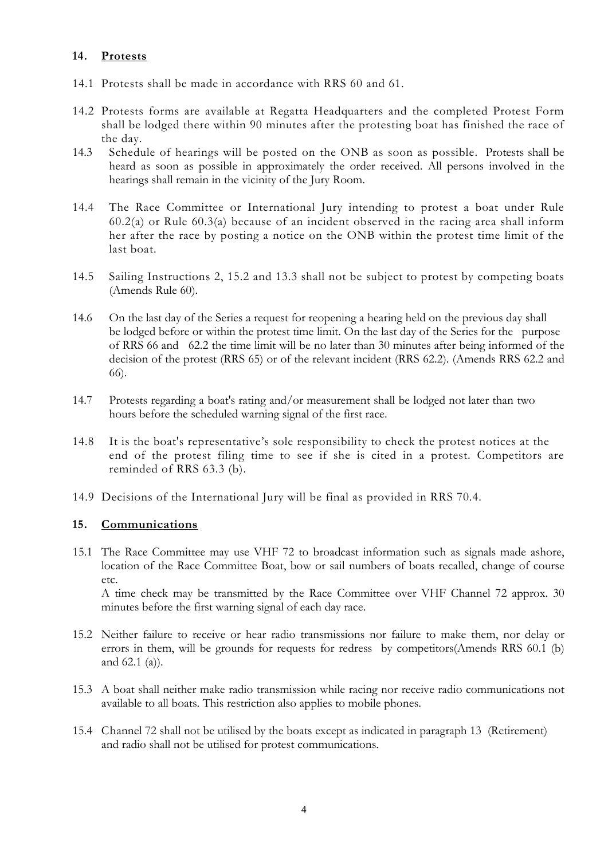#### **14. Protests**

- 14.1 Protests shall be made in accordance with RRS 60 and 61.
- 14.2 Protests forms are available at Regatta Headquarters and the completed Protest Form shall be lodged there within 90 minutes after the protesting boat has finished the race of the day.
- 14.3 Schedule of hearings will be posted on the ONB as soon as possible. Protests shall be heard as soon as possible in approximately the order received. All persons involved in the hearings shall remain in the vicinity of the Jury Room.
- 14.4 The Race Committee or International Jury intending to protest a boat under Rule 60.2(a) or Rule 60.3(a) because of an incident observed in the racing area shall inform her after the race by posting a notice on the ONB within the protest time limit of the last boat.
- 14.5 Sailing Instructions 2, 15.2 and 13.3 shall not be subject to protest by competing boats (Amends Rule 60).
- 14.6 On the last day of the Series a request for reopening a hearing held on the previous day shall be lodged before or within the protest time limit. On the last day of the Series for the purpose of RRS 66 and 62.2 the time limit will be no later than 30 minutes after being informed of the decision of the protest (RRS 65) or of the relevant incident (RRS 62.2). (Amends RRS 62.2 and 66).
- 14.7 Protests regarding a boat's rating and/or measurement shall be lodged not later than two hours before the scheduled warning signal of the first race.
- 14.8 It is the boat's representative's sole responsibility to check the protest notices at the end of the protest filing time to see if she is cited in a protest. Competitors are reminded of RRS 63.3 (b).
- 14.9 Decisions of the International Jury will be final as provided in RRS 70.4.

#### **15. Communications**

15.1 The Race Committee may use VHF 72 to broadcast information such as signals made ashore, location of the Race Committee Boat, bow or sail numbers of boats recalled, change of course etc. A time check may be transmitted by the Race Committee over VHF Channel 72 approx. 30 minutes before the first warning signal of each day race.

15.2 Neither failure to receive or hear radio transmissions nor failure to make them, nor delay or errors in them, will be grounds for requests for redress by competitors(Amends RRS 60.1 (b) and 62.1 (a)).

- 15.3 A boat shall neither make radio transmission while racing nor receive radio communications not available to all boats. This restriction also applies to mobile phones.
- 15.4 Channel 72 shall not be utilised by the boats except as indicated in paragraph 13 (Retirement) and radio shall not be utilised for protest communications.